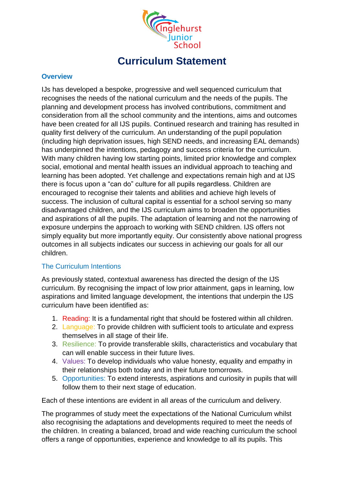

## **Curriculum Statement**

## **Overview**

IJs has developed a bespoke, progressive and well sequenced curriculum that recognises the needs of the national curriculum and the needs of the pupils. The planning and development process has involved contributions, commitment and consideration from all the school community and the intentions, aims and outcomes have been created for all IJS pupils. Continued research and training has resulted in quality first delivery of the curriculum. An understanding of the pupil population (including high deprivation issues, high SEND needs, and increasing EAL demands) has underpinned the intentions, pedagogy and success criteria for the curriculum. With many children having low starting points, limited prior knowledge and complex social, emotional and mental health issues an individual approach to teaching and learning has been adopted. Yet challenge and expectations remain high and at IJS there is focus upon a "can do" culture for all pupils regardless. Children are encouraged to recognise their talents and abilities and achieve high levels of success. The inclusion of cultural capital is essential for a school serving so many disadvantaged children, and the IJS curriculum aims to broaden the opportunities and aspirations of all the pupils. The adaptation of learning and not the narrowing of exposure underpins the approach to working with SEND children. IJS offers not simply equality but more importantly equity. Our consistently above national progress outcomes in all subjects indicates our success in achieving our goals for all our children.

## The Curriculum Intentions

As previously stated, contextual awareness has directed the design of the IJS curriculum. By recognising the impact of low prior attainment, gaps in learning, low aspirations and limited language development, the intentions that underpin the IJS curriculum have been identified as:

- 1. Reading: It is a fundamental right that should be fostered within all children.
- 2. Language: To provide children with sufficient tools to articulate and express themselves in all stage of their life.
- 3. Resilience: To provide transferable skills, characteristics and vocabulary that can will enable success in their future lives.
- 4. Values: To develop individuals who value honesty, equality and empathy in their relationships both today and in their future tomorrows.
- 5. Opportunities: To extend interests, aspirations and curiosity in pupils that will follow them to their next stage of education.

Each of these intentions are evident in all areas of the curriculum and delivery.

The programmes of study meet the expectations of the National Curriculum whilst also recognising the adaptations and developments required to meet the needs of the children. In creating a balanced, broad and wide reaching curriculum the school offers a range of opportunities, experience and knowledge to all its pupils. This